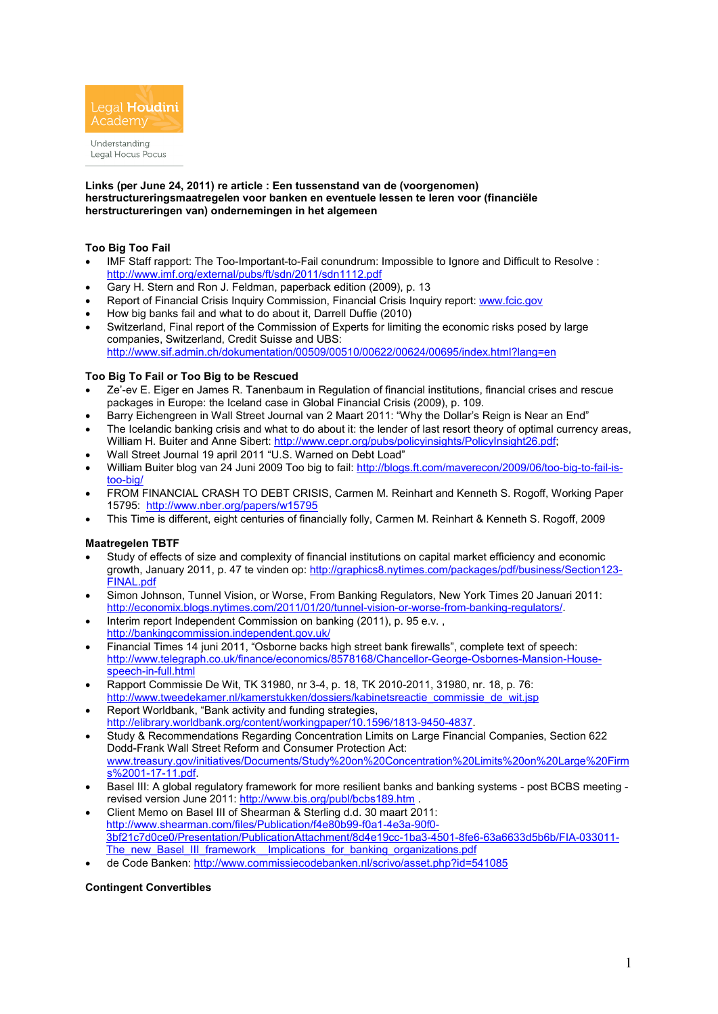

Understanding Legal Hocus Pocus

#### **Links (per June 24, 2011) re article : Een tussenstand van de (voorgenomen) herstructureringsmaatregelen voor banken en eventuele lessen te leren voor (financiële herstructureringen van) ondernemingen in het algemeen**

## **Too Big Too Fail**

- IMF Staff rapport: The Too-Important-to-Fail conundrum: Impossible to Ignore and Difficult to Resolve : http://www.imf.org/external/pubs/ft/sdn/2011/sdn1112.pdf
- Gary H. Stern and Ron J. Feldman, paperback edition (2009), p. 13
- Report of Financial Crisis Inquiry Commission, Financial Crisis Inquiry report: www.fcic.gov
- How big banks fail and what to do about it, Darrell Duffie (2010)
- Switzerland, Final report of the Commission of Experts for limiting the economic risks posed by large companies, Switzerland, Credit Suisse and UBS: http://www.sif.admin.ch/dokumentation/00509/00510/00622/00624/00695/index.html?lang=en

### **Too Big To Fail or Too Big to be Rescued**

- Ze'-ev E. Eiger en James R. Tanenbaum in Regulation of financial institutions, financial crises and rescue packages in Europe: the Iceland case in Global Financial Crisis (2009), p. 109.
- Barry Eichengreen in Wall Street Journal van 2 Maart 2011: "Why the Dollar's Reign is Near an End"
- The Icelandic banking crisis and what to do about it: the lender of last resort theory of optimal currency areas, William H. Buiter and Anne Sibert: http://www.cepr.org/pubs/policyinsights/PolicyInsight26.pdf;
- Wall Street Journal 19 april 2011 "U.S. Warned on Debt Load"
- William Buiter blog van 24 Juni 2009 Too big to fail: http://blogs.ft.com/maverecon/2009/06/too-big-to-fail-istoo-big/
- FROM FINANCIAL CRASH TO DEBT CRISIS, Carmen M. Reinhart and Kenneth S. Rogoff, Working Paper 15795: http://www.nber.org/papers/w15795
- This Time is different, eight centuries of financially folly, Carmen M. Reinhart & Kenneth S. Rogoff, 2009

### **Maatregelen TBTF**

- Study of effects of size and complexity of financial institutions on capital market efficiency and economic growth, January 2011, p. 47 te vinden op: http://graphics8.nytimes.com/packages/pdf/business/Section123-FINAL.pdf
- Simon Johnson, Tunnel Vision, or Worse, From Banking Regulators, New York Times 20 Januari 2011: http://economix.blogs.nytimes.com/2011/01/20/tunnel-vision-or-worse-from-banking-regulators/.
- Interim report Independent Commission on banking (2011), p. 95 e.v. , http://bankingcommission.independent.gov.uk/
- Financial Times 14 iuni 2011. "Osborne backs high street bank firewalls", complete text of speech: http://www.telegraph.co.uk/finance/economics/8578168/Chancellor-George-Osbornes-Mansion-Housespeech-in-full.html
- Rapport Commissie De Wit, TK 31980, nr 3-4, p. 18, TK 2010-2011, 31980, nr. 18, p. 76: http://www.tweedekamer.nl/kamerstukken/dossiers/kabinetsreactie\_commissie\_de\_wit.jsp
- Report Worldbank, "Bank activity and funding strategies, http://elibrary.worldbank.org/content/workingpaper/10.1596/1813-9450-4837.
- Study & Recommendations Regarding Concentration Limits on Large Financial Companies, Section 622 Dodd-Frank Wall Street Reform and Consumer Protection Act: www.treasury.gov/initiatives/Documents/Study%20on%20Concentration%20Limits%20on%20Large%20Firm s%2001-17-11.pdf.
- Basel III: A global regulatory framework for more resilient banks and banking systems post BCBS meeting revised version June 2011: http://www.bis.org/publ/bcbs189.htm .
- Client Memo on Basel III of Shearman & Sterling d.d. 30 maart 2011: http://www.shearman.com/files/Publication/f4e80b99-f0a1-4e3a-90f0- 3bf21c7d0ce0/Presentation/PublicationAttachment/8d4e19cc-1ba3-4501-8fe6-63a6633d5b6b/FIA-033011- The\_new\_Basel\_III\_framework\_\_Implications\_for\_banking\_organizations.pdf
- de Code Banken: http://www.commissiecodebanken.nl/scrivo/asset.php?id=541085

### **Contingent Convertibles**